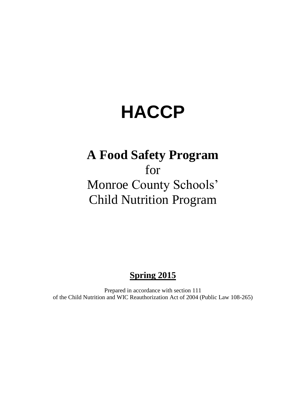# **HACCP**

# **A Food Safety Program**  for Monroe County Schools' Child Nutrition Program

# **Spring 2015**

Prepared in accordance with section 111 of the Child Nutrition and WIC Reauthorization Act of 2004 (Public Law 108-265)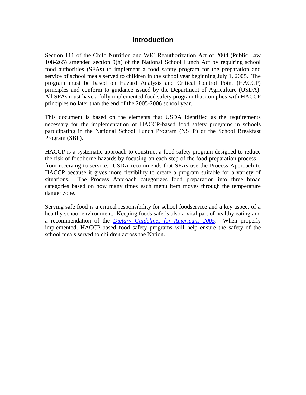#### **Introduction**

Section 111 of the Child Nutrition and WIC Reauthorization Act of 2004 (Public Law 108-265) amended section 9(h) of the National School Lunch Act by requiring school food authorities (SFAs) to implement a food safety program for the preparation and service of school meals served to children in the school year beginning July 1, 2005. The program must be based on Hazard Analysis and Critical Control Point (HACCP) principles and conform to guidance issued by the Department of Agriculture (USDA). All SFAs must have a fully implemented food safety program that complies with HACCP principles no later than the end of the 2005-2006 school year.

This document is based on the elements that USDA identified as the requirements necessary for the implementation of HACCP-based food safety programs in schools participating in the National School Lunch Program (NSLP) or the School Breakfast Program (SBP).

HACCP is a systematic approach to construct a food safety program designed to reduce the risk of foodborne hazards by focusing on each step of the food preparation process – from receiving to service. USDA recommends that SFAs use the Process Approach to HACCP because it gives more flexibility to create a program suitable for a variety of situations. The Process Approach categorizes food preparation into three broad categories based on how many times each menu item moves through the temperature danger zone.

Serving safe food is a critical responsibility for school foodservice and a key aspect of a healthy school environment. Keeping foods safe is also a vital part of healthy eating and a recommendation of the *[Dietary Guidelines for Americans 2005](http://www.healthierus.gov/dietaryguidelines/)*. When properly implemented, HACCP-based food safety programs will help ensure the safety of the school meals served to children across the Nation.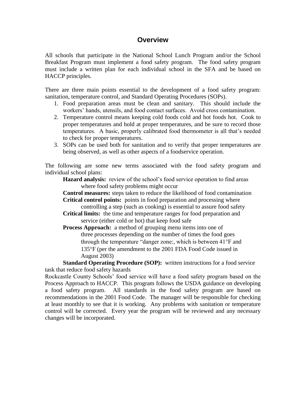### **Overview**

All schools that participate in the National School Lunch Program and/or the School Breakfast Program must implement a food safety program. The food safety program must include a written plan for each individual school in the SFA and be based on HACCP principles.

There are three main points essential to the development of a food safety program: sanitation, temperature control, and Standard Operating Procedures (SOPs).

- 1. Food preparation areas must be clean and sanitary. This should include the workers' hands, utensils, and food contact surfaces. Avoid cross contamination.
- 2. Temperature control means keeping cold foods cold and hot foods hot. Cook to proper temperatures and hold at proper temperatures, and be sure to record those temperatures. A basic, properly calibrated food thermometer is all that's needed to check for proper temperatures.
- 3. SOPs can be used both for sanitation and to verify that proper temperatures are being observed, as well as other aspects of a foodservice operation.

The following are some new terms associated with the food safety program and individual school plans:

Hazard analysis: review of the school's food service operation to find areas where food safety problems might occur

**Control measures:** steps taken to reduce the likelihood of food contamination **Critical control points:** points in food preparation and processing where

controlling a step (such as cooking) is essential to assure food safety

**Critical limits:** the time and temperature ranges for food preparation and service (either cold or hot) that keep food safe

**Process Approach:** a method of grouping menu items into one of three processes depending on the number of times the food goes through the temperature "danger zone:, which is between  $41^{\circ}$ F and 135F (per the amendment to the 2001 FDA Food Code issued in August 2003)

**Standard Operating Procedure (SOP):** written instructions for a food service task that reduce food safety hazards

Rockcastle County Schools' food service will have a food safety program based on the Process Approach to HACCP. This program follows the USDA guidance on developing a food safety program. All standards in the food safety program are based on recommendations in the 2001 Food Code. The manager will be responsible for checking at least monthly to see that it is working. Any problems with sanitation or temperature control will be corrected. Every year the program will be reviewed and any necessary changes will be incorporated.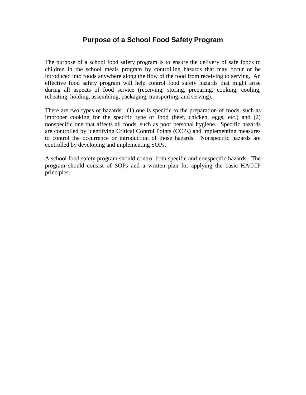# **Purpose of a School Food Safety Program**

The purpose of a school food safety program is to ensure the delivery of safe foods to children in the school meals program by controlling hazards that may occur or be introduced into foods anywhere along the flow of the food from receiving to serving. An effective food safety program will help control food safety hazards that might arise during all aspects of food service (receiving, storing, preparing, cooking, cooling, reheating, holding, assembling, packaging, transporting, and serving).

There are two types of hazards: (1) one is specific to the preparation of foods, such as improper cooking for the specific type of food (beef, chicken, eggs, etc.) and (2) nonspecific one that affects all foods, such as poor personal hygiene. Specific hazards are controlled by identifying Critical Control Points (CCPs) and implementing measures to control the occurrence or introduction of those hazards. Nonspecific hazards are controlled by developing and implementing SOPs.

A school food safety program should control both specific and nonspecific hazards. The program should consist of SOPs and a written plan for applying the basic HACCP principles.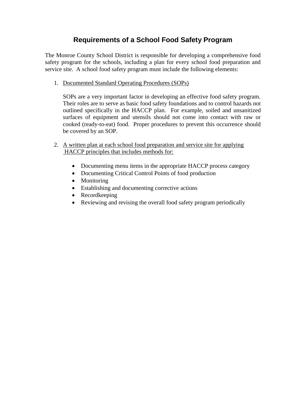# **Requirements of a School Food Safety Program**

The Monroe County School District is responsible for developing a comprehensive food safety program for the schools, including a plan for every school food preparation and service site. A school food safety program must include the following elements:

1. Documented Standard Operating Procedures (SOPs)

SOPs are a very important factor in developing an effective food safety program. Their roles are to serve as basic food safety foundations and to control hazards not outlined specifically in the HACCP plan. For example, soiled and unsanitized surfaces of equipment and utensils should not come into contact with raw or cooked (ready-to-eat) food. Proper procedures to prevent this occurrence should be covered by an SOP.

- 2. A written plan at each school food preparation and service site for applying HACCP principles that includes methods for:
	- Documenting menu items in the appropriate HACCP process category
	- Documenting Critical Control Points of food production
	- Monitoring
	- Establishing and documenting corrective actions
	- Recordkeeping
	- Reviewing and revising the overall food safety program periodically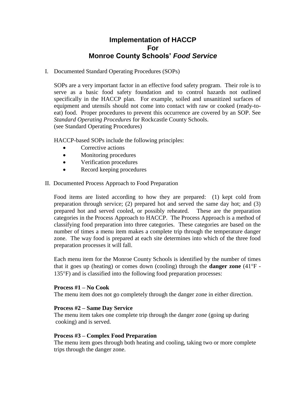# **Implementation of HACCP For Monroe County Schools'** *Food Service*

I. Documented Standard Operating Procedures (SOPs)

SOPs are a very important factor in an effective food safety program. Their role is to serve as a basic food safety foundation and to control hazards not outlined specifically in the HACCP plan. For example, soiled and unsanitized surfaces of equipment and utensils should not come into contact with raw or cooked (ready-toeat) food. Proper procedures to prevent this occurrence are covered by an SOP. See *Standard Operating Procedures* for Rockcastle County Schools. (see Standard Operating Procedures)

HACCP-based SOPs include the following principles:

- Corrective actions
- Monitoring procedures
- Verification procedures
- Record keeping procedures
- II. Documented Process Approach to Food Preparation

Food items are listed according to how they are prepared: (1) kept cold from preparation through service; (2) prepared hot and served the same day hot; and (3) prepared hot and served cooled, or possibly reheated. These are the preparation categories in the Process Approach to HACCP. The Process Approach is a method of classifying food preparation into three categories. These categories are based on the number of times a menu item makes a complete trip through the temperature danger zone. The way food is prepared at each site determines into which of the three food preparation processes it will fall.

Each menu item for the Monroe County Schools is identified by the number of times that it goes up (heating) or comes down (cooling) through the **danger zone**  $(41^{\circ}F -$ 135F) and is classified into the following food preparation processes:

#### **Process #1 – No Cook**

The menu item does not go completely through the danger zone in either direction.

#### **Process #2 – Same Day Service**

The menu item takes one complete trip through the danger zone (going up during cooking) and is served.

#### **Process #3 – Complex Food Preparation**

The menu item goes through both heating and cooling, taking two or more complete trips through the danger zone.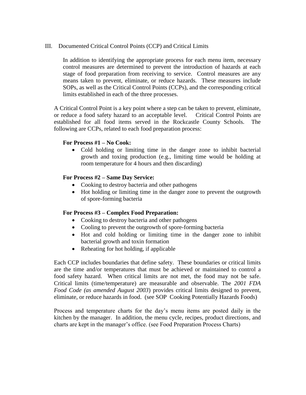III. Documented Critical Control Points (CCP) and Critical Limits

In addition to identifying the appropriate process for each menu item, necessary control measures are determined to prevent the introduction of hazards at each stage of food preparation from receiving to service. Control measures are any means taken to prevent, eliminate, or reduce hazards. These measures include SOPs, as well as the Critical Control Points (CCPs), and the corresponding critical limits established in each of the three processes.

A Critical Control Point is a key point where a step can be taken to prevent, eliminate, or reduce a food safety hazard to an acceptable level. Critical Control Points are established for all food items served in the Rockcastle County Schools. The following are CCPs, related to each food preparation process:

#### **For Process #1 – No Cook:**

 Cold holding or limiting time in the danger zone to inhibit bacterial growth and toxing production (e.g., limiting time would be holding at room temperature for 4 hours and then discarding)

#### **For Process #2 – Same Day Service:**

- Cooking to destroy bacteria and other pathogens
- Hot holding or limiting time in the danger zone to prevent the outgrowth of spore-forming bacteria

#### **For Process #3 – Complex Food Preparation:**

- Cooking to destroy bacteria and other pathogens
- Cooling to prevent the outgrowth of spore-forming bacteria
- Hot and cold holding or limiting time in the danger zone to inhibit bacterial growth and toxin formation
- Reheating for hot holding, if applicable

Each CCP includes boundaries that define safety. These boundaries or critical limits are the time and/or temperatures that must be achieved or maintained to control a food safety hazard. When critical limits are not met, the food may not be safe. Critical limits (time/temperature) are measurable and observable. The *2001 FDA Food Code (as amended August 2003*) provides critical limits designed to prevent, eliminate, or reduce hazards in food. (see SOP Cooking Potentially Hazards Foods)

Process and temperature charts for the day's menu items are posted daily in the kitchen by the manager. In addition, the menu cycle, recipes, product directions, and charts are kept in the manager's office. (see Food Preparation Process Charts)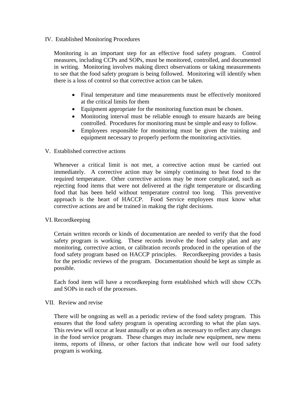#### IV. Established Monitoring Procedures

Monitoring is an important step for an effective food safety program. Control measures, including CCPs and SOPs, must be monitored, controlled, and documented in writing. Monitoring involves making direct observations or taking measurements to see that the food safety program is being followed. Monitoring will identify when there is a loss of control so that corrective action can be taken.

- Final temperature and time measurements must be effectively monitored at the critical limits for them
- Equipment appropriate for the monitoring function must be chosen.
- Monitoring interval must be reliable enough to ensure hazards are being controlled. Procedures for monitoring must be simple and easy to follow.
- Employees responsible for monitoring must be given the training and equipment necessary to properly perform the monitoring activities.

#### V. Established corrective actions

Whenever a critical limit is not met, a corrective action must be carried out immediately. A corrective action may be simply continuing to heat food to the required temperature. Other corrective actions may be more complicated, such as rejecting food items that were not delivered at the right temperature or discarding food that has been held without temperature control too long. This preventive approach is the heart of HACCP. Food Service employees must know what corrective actions are and be trained in making the right decisions.

#### VI. Recordkeeping

Certain written records or kinds of documentation are needed to verify that the food safety program is working. These records involve the food safety plan and any monitoring, corrective action, or calibration records produced in the operation of the food safety program based on HACCP principles. Recordkeeping provides a basis for the periodic reviews of the program. Documentation should be kept as simple as possible.

Each food item will have a recordkeeping form established which will show CCPs and SOPs in each of the processes.

#### VII. Review and revise

There will be ongoing as well as a periodic review of the food safety program. This ensures that the food safety program is operating according to what the plan says. This review will occur at least annually or as often as necessary to reflect any changes in the food service program. These changes may include new equipment, new menu items, reports of illness, or other factors that indicate how well our food safety program is working.